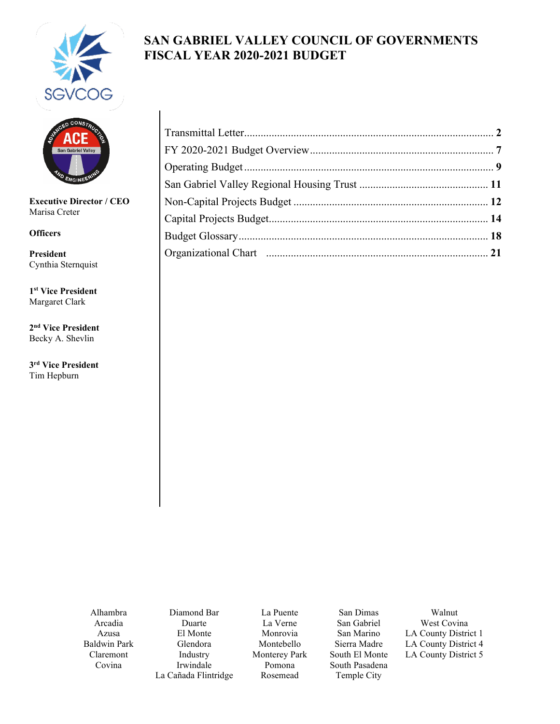

# **SAN GABRIEL VALLEY COUNCIL OF GOVERNMENTS FISCAL YEAR 2020-2021 BUDGET**



**Executive Director / CEO** Marisa Creter

**Officers**

**President** Cynthia Sternquist

**1st Vice President** Margaret Clark

**2nd Vice President** Becky A. Shevlin

**3rd Vice President** Tim Hepburn

Alhambra Arcadia Azusa Baldwin Park Claremont Covina

Diamond Bar Duarte El Monte Glendora Industry Irwindale La Cañada Flintridge

La Puente La Verne Monrovia Montebello Monterey Park Pomona Rosemead

San Dimas San Gabriel San Marino Sierra Madre South El Monte South Pasadena Temple City

Walnut West Covina LA County District 1 LA County District 4 LA County District 5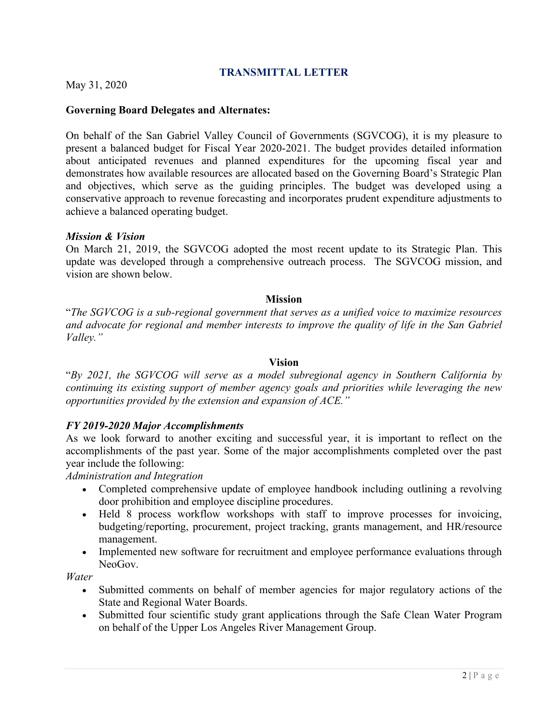#### **TRANSMITTAL LETTER**

<span id="page-1-0"></span>May 31, 2020

#### **Governing Board Delegates and Alternates:**

On behalf of the San Gabriel Valley Council of Governments (SGVCOG), it is my pleasure to present a balanced budget for Fiscal Year 2020-2021. The budget provides detailed information about anticipated revenues and planned expenditures for the upcoming fiscal year and demonstrates how available resources are allocated based on the Governing Board's Strategic Plan and objectives, which serve as the guiding principles. The budget was developed using a conservative approach to revenue forecasting and incorporates prudent expenditure adjustments to achieve a balanced operating budget.

#### *Mission & Vision*

On March 21, 2019, the SGVCOG adopted the most recent update to its Strategic Plan. This update was developed through a comprehensive outreach process. The SGVCOG mission, and vision are shown below.

#### **Mission**

"*The SGVCOG is a sub-regional government that serves as a unified voice to maximize resources and advocate for regional and member interests to improve the quality of life in the San Gabriel Valley."*

#### **Vision**

"*By 2021, the SGVCOG will serve as a model subregional agency in Southern California by continuing its existing support of member agency goals and priorities while leveraging the new opportunities provided by the extension and expansion of ACE."*

#### *FY 2019-2020 Major Accomplishments*

As we look forward to another exciting and successful year, it is important to reflect on the accomplishments of the past year. Some of the major accomplishments completed over the past year include the following:

*Administration and Integration*

- Completed comprehensive update of employee handbook including outlining a revolving door prohibition and employee discipline procedures.
- Held 8 process workflow workshops with staff to improve processes for invoicing, budgeting/reporting, procurement, project tracking, grants management, and HR/resource management.
- Implemented new software for recruitment and employee performance evaluations through NeoGov.

*Water*

- Submitted comments on behalf of member agencies for major regulatory actions of the State and Regional Water Boards.
- Submitted four scientific study grant applications through the Safe Clean Water Program on behalf of the Upper Los Angeles River Management Group.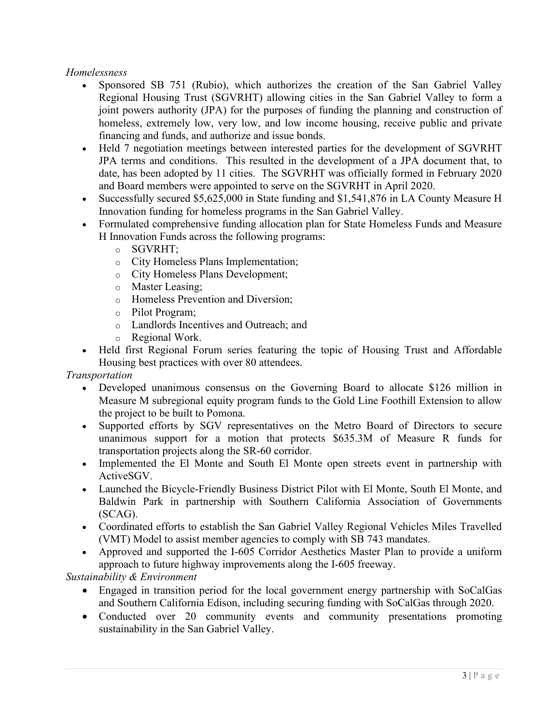### *Homelessness*

- Sponsored SB 751 (Rubio), which authorizes the creation of the San Gabriel Valley Regional Housing Trust (SGVRHT) allowing cities in the San Gabriel Valley to form a joint powers authority (JPA) for the purposes of funding the planning and construction of homeless, extremely low, very low, and low income housing, receive public and private financing and funds, and authorize and issue bonds.
- Held 7 negotiation meetings between interested parties for the development of SGVRHT JPA terms and conditions. This resulted in the development of a JPA document that, to date, has been adopted by 11 cities. The SGVRHT was officially formed in February 2020 and Board members were appointed to serve on the SGVRHT in April 2020.
- Successfully secured \$5,625,000 in State funding and \$1,541,876 in LA County Measure H Innovation funding for homeless programs in the San Gabriel Valley.
- Formulated comprehensive funding allocation plan for State Homeless Funds and Measure H Innovation Funds across the following programs:
	- o SGVRHT;
	- o City Homeless Plans Implementation;
	- o City Homeless Plans Development;
	- o Master Leasing;
	- o Homeless Prevention and Diversion;
	- o Pilot Program;
	- o Landlords Incentives and Outreach; and
	- o Regional Work.
- Held first Regional Forum series featuring the topic of Housing Trust and Affordable Housing best practices with over 80 attendees.

*Transportation* 

- Developed unanimous consensus on the Governing Board to allocate \$126 million in Measure M subregional equity program funds to the Gold Line Foothill Extension to allow the project to be built to Pomona.
- Supported efforts by SGV representatives on the Metro Board of Directors to secure unanimous support for a motion that protects \$635.3M of Measure R funds for transportation projects along the SR-60 corridor.
- Implemented the El Monte and South El Monte open streets event in partnership with ActiveSGV.
- Launched the Bicycle-Friendly Business District Pilot with El Monte, South El Monte, and Baldwin Park in partnership with Southern California Association of Governments (SCAG).
- Coordinated efforts to establish the San Gabriel Valley Regional Vehicles Miles Travelled (VMT) Model to assist member agencies to comply with SB 743 mandates.
- Approved and supported the I-605 Corridor Aesthetics Master Plan to provide a uniform approach to future highway improvements along the I-605 freeway.

*Sustainability & Environment* 

- Engaged in transition period for the local government energy partnership with SoCalGas and Southern California Edison, including securing funding with SoCalGas through 2020.
- Conducted over 20 community events and community presentations promoting sustainability in the San Gabriel Valley.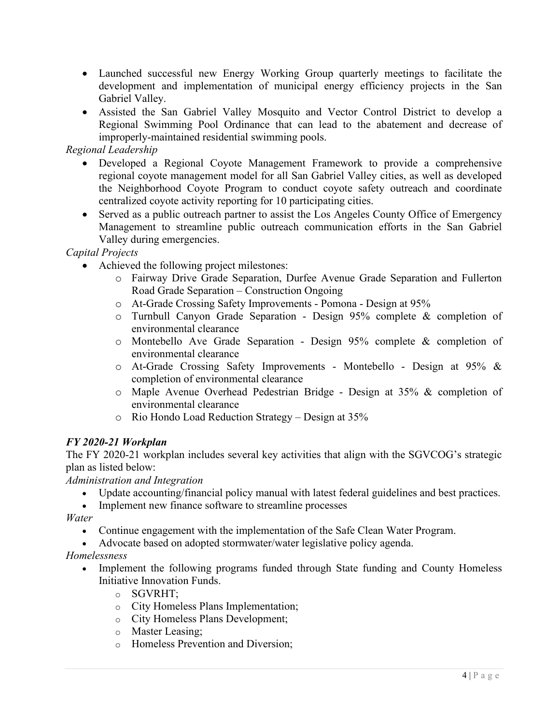- Launched successful new Energy Working Group quarterly meetings to facilitate the development and implementation of municipal energy efficiency projects in the San Gabriel Valley.
- Assisted the San Gabriel Valley Mosquito and Vector Control District to develop a Regional Swimming Pool Ordinance that can lead to the abatement and decrease of improperly-maintained residential swimming pools.

### *Regional Leadership*

- Developed a Regional Coyote Management Framework to provide a comprehensive regional coyote management model for all San Gabriel Valley cities, as well as developed the Neighborhood Coyote Program to conduct coyote safety outreach and coordinate centralized coyote activity reporting for 10 participating cities.
- Served as a public outreach partner to assist the Los Angeles County Office of Emergency Management to streamline public outreach communication efforts in the San Gabriel Valley during emergencies.

#### *Capital Projects*

- Achieved the following project milestones:
	- o Fairway Drive Grade Separation, Durfee Avenue Grade Separation and Fullerton Road Grade Separation – Construction Ongoing
	- o At-Grade Crossing Safety Improvements Pomona Design at 95%
	- o Turnbull Canyon Grade Separation Design 95% complete & completion of environmental clearance
	- o Montebello Ave Grade Separation Design 95% complete & completion of environmental clearance
	- o At-Grade Crossing Safety Improvements Montebello Design at 95% & completion of environmental clearance
	- o Maple Avenue Overhead Pedestrian Bridge Design at 35% & completion of environmental clearance
	- o Rio Hondo Load Reduction Strategy Design at 35%

## *FY 2020-21 Workplan*

The FY 2020-21 workplan includes several key activities that align with the SGVCOG's strategic plan as listed below:

*Administration and Integration*

- Update accounting/financial policy manual with latest federal guidelines and best practices.
- Implement new finance software to streamline processes

*Water*

- Continue engagement with the implementation of the Safe Clean Water Program.
- Advocate based on adopted stormwater/water legislative policy agenda.

*Homelessness*

- Implement the following programs funded through State funding and County Homeless Initiative Innovation Funds.
	- o SGVRHT;
	- o City Homeless Plans Implementation;
	- o City Homeless Plans Development;
	- o Master Leasing;
	- o Homeless Prevention and Diversion;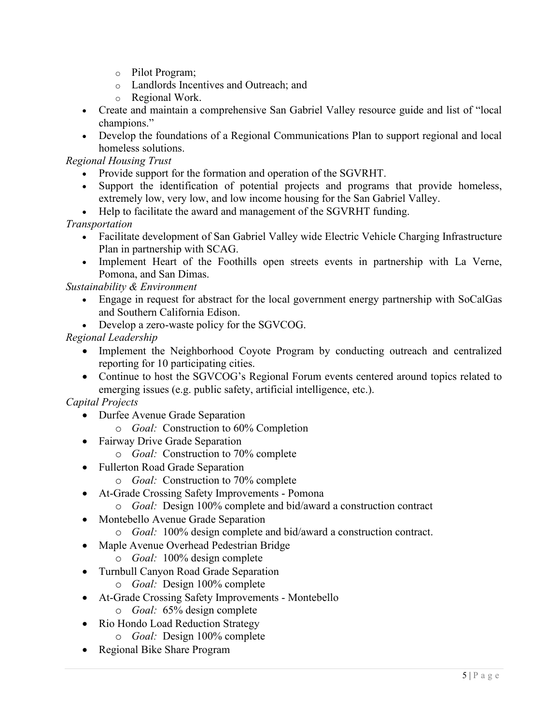- o Pilot Program;
- o Landlords Incentives and Outreach; and
- o Regional Work.
- Create and maintain a comprehensive San Gabriel Valley resource guide and list of "local champions."
- Develop the foundations of a Regional Communications Plan to support regional and local homeless solutions.

*Regional Housing Trust* 

- Provide support for the formation and operation of the SGVRHT.
- Support the identification of potential projects and programs that provide homeless, extremely low, very low, and low income housing for the San Gabriel Valley.
- Help to facilitate the award and management of the SGVRHT funding.

*Transportation* 

- Facilitate development of San Gabriel Valley wide Electric Vehicle Charging Infrastructure Plan in partnership with SCAG.
- Implement Heart of the Foothills open streets events in partnership with La Verne, Pomona, and San Dimas.

*Sustainability & Environment*

- Engage in request for abstract for the local government energy partnership with SoCalGas and Southern California Edison.
- Develop a zero-waste policy for the SGVCOG.

## *Regional Leadership*

- Implement the Neighborhood Coyote Program by conducting outreach and centralized reporting for 10 participating cities.
- Continue to host the SGVCOG's Regional Forum events centered around topics related to emerging issues (e.g. public safety, artificial intelligence, etc.).

# *Capital Projects*

- Durfee Avenue Grade Separation
	- o *Goal:* Construction to 60% Completion
- Fairway Drive Grade Separation
	- o *Goal:* Construction to 70% complete
- Fullerton Road Grade Separation
	- o *Goal:* Construction to 70% complete
- At-Grade Crossing Safety Improvements Pomona
	- o *Goal:* Design 100% complete and bid/award a construction contract
- Montebello Avenue Grade Separation
	- o *Goal:* 100% design complete and bid/award a construction contract.
- Maple Avenue Overhead Pedestrian Bridge
	- o *Goal:* 100% design complete
- Turnbull Canyon Road Grade Separation
	- o *Goal:* Design 100% complete
- At-Grade Crossing Safety Improvements Montebello
	- o *Goal:* 65% design complete
- Rio Hondo Load Reduction Strategy
	- o *Goal:* Design 100% complete
- Regional Bike Share Program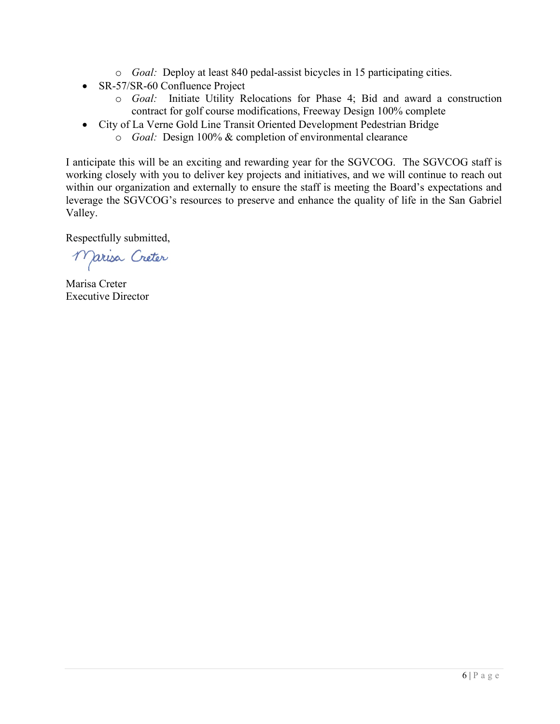- o *Goal:* Deploy at least 840 pedal-assist bicycles in 15 participating cities.
- SR-57/SR-60 Confluence Project
	- o *Goal:* Initiate Utility Relocations for Phase 4; Bid and award a construction contract for golf course modifications, Freeway Design 100% complete
- City of La Verne Gold Line Transit Oriented Development Pedestrian Bridge
	- o *Goal:* Design 100% & completion of environmental clearance

I anticipate this will be an exciting and rewarding year for the SGVCOG. The SGVCOG staff is working closely with you to deliver key projects and initiatives, and we will continue to reach out within our organization and externally to ensure the staff is meeting the Board's expectations and leverage the SGVCOG's resources to preserve and enhance the quality of life in the San Gabriel Valley.

Respectfully submitted,

Marisa Créter

Marisa Creter Executive Director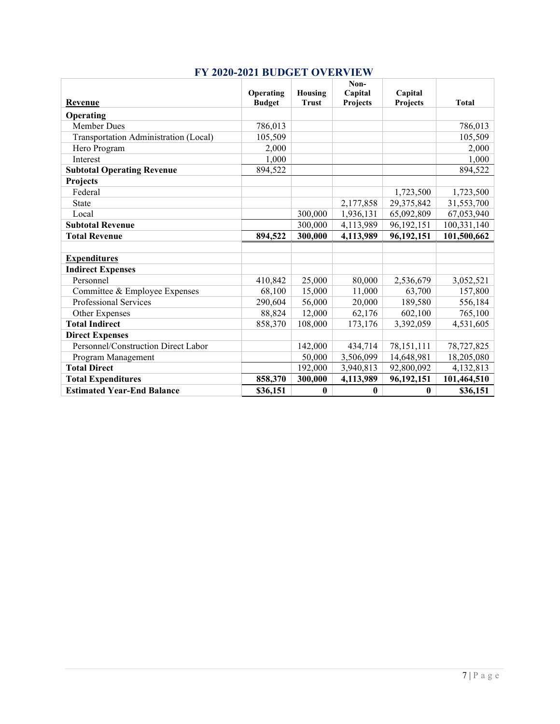<span id="page-6-0"></span>

| Revenue                               | Operating<br><b>Budget</b> | Housing<br><b>Trust</b> | Non-<br>Capital<br>Projects | Capital<br>Projects | <b>Total</b> |
|---------------------------------------|----------------------------|-------------------------|-----------------------------|---------------------|--------------|
| Operating                             |                            |                         |                             |                     |              |
| <b>Member Dues</b>                    | 786,013                    |                         |                             |                     | 786,013      |
| Transportation Administration (Local) | 105,509                    |                         |                             |                     | 105,509      |
| Hero Program                          | 2,000                      |                         |                             |                     | 2,000        |
| Interest                              | 1,000                      |                         |                             |                     | 1,000        |
| <b>Subtotal Operating Revenue</b>     | 894,522                    |                         |                             |                     | 894,522      |
| Projects                              |                            |                         |                             |                     |              |
| Federal                               |                            |                         |                             | 1,723,500           | 1,723,500    |
| State                                 |                            |                         | 2,177,858                   | 29,375,842          | 31,553,700   |
| Local                                 |                            | 300,000                 | 1,936,131                   | 65,092,809          | 67,053,940   |
| <b>Subtotal Revenue</b>               |                            | 300,000                 | 4,113,989                   | 96,192,151          | 100,331,140  |
| <b>Total Revenue</b>                  | 894,522                    | 300,000                 | 4,113,989                   | 96,192,151          | 101,500,662  |
|                                       |                            |                         |                             |                     |              |
| <b>Expenditures</b>                   |                            |                         |                             |                     |              |
| <b>Indirect Expenses</b>              |                            |                         |                             |                     |              |
| Personnel                             | 410,842                    | 25,000                  | 80,000                      | 2,536,679           | 3,052,521    |
| Committee & Employee Expenses         | 68,100                     | 15,000                  | 11,000                      | 63,700              | 157,800      |
| Professional Services                 | 290,604                    | 56,000                  | 20,000                      | 189,580             | 556,184      |
| Other Expenses                        | 88,824                     | 12,000                  | 62,176                      | 602,100             | 765,100      |
| <b>Total Indirect</b>                 | 858,370                    | 108,000                 | 173,176                     | 3,392,059           | 4,531,605    |
| <b>Direct Expenses</b>                |                            |                         |                             |                     |              |
| Personnel/Construction Direct Labor   |                            | 142,000                 | 434,714                     | 78,151,111          | 78,727,825   |
| Program Management                    |                            | 50,000                  | 3,506,099                   | 14,648,981          | 18,205,080   |
| <b>Total Direct</b>                   |                            | 192,000                 | 3,940,813                   | 92,800,092          | 4,132,813    |
| <b>Total Expenditures</b>             | 858,370                    | 300,000                 | 4,113,989                   | 96,192,151          | 101,464,510  |
| <b>Estimated Year-End Balance</b>     | \$36,151                   | $\bf{0}$                | $\bf{0}$                    | $\bf{0}$            | \$36,151     |

# **FY 2020-2021 BUDGET OVERVIEW**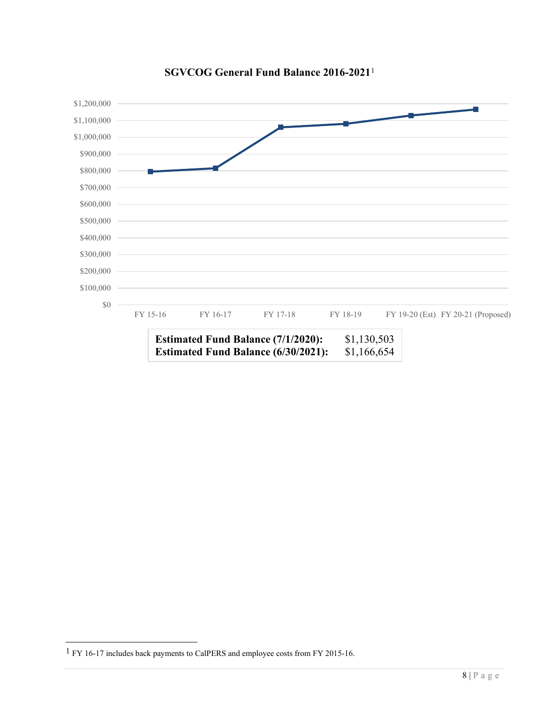

#### **SGVCOG General Fund Balance 2016-2021**[1](#page-7-0)

<span id="page-7-0"></span><sup>1</sup> FY 16-17 includes back payments to CalPERS and employee costs from FY 2015-16.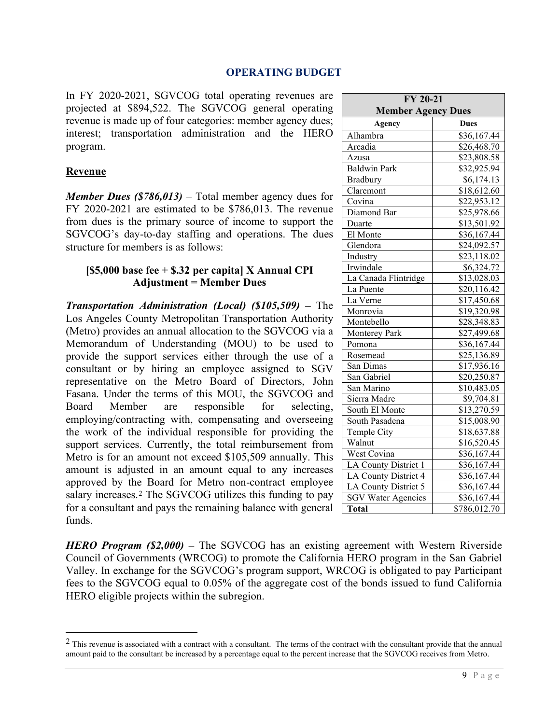#### **OPERATING BUDGET**

<span id="page-8-0"></span>In FY 2020-2021, SGVCOG total operating revenues are projected at \$894,522. The SGVCOG general operating revenue is made up of four categories: member agency dues; interest; transportation administration and the HERO program.

#### **Revenue**

*Member Dues (\$786,013)* – Total member agency dues for FY 2020-2021 are estimated to be \$786,013. The revenue from dues is the primary source of income to support the SGVCOG's day-to-day staffing and operations. The dues structure for members is as follows:

#### **[\$5,000 base fee + \$.32 per capita] X Annual CPI Adjustment = Member Dues**

*Transportation Administration (Local) (\$105,509) –* The Los Angeles County Metropolitan Transportation Authority (Metro) provides an annual allocation to the SGVCOG via a Memorandum of Understanding (MOU) to be used to provide the support services either through the use of a consultant or by hiring an employee assigned to SGV representative on the Metro Board of Directors, John Fasana. Under the terms of this MOU, the SGVCOG and Board Member are responsible for selecting, employing/contracting with, compensating and overseeing the work of the individual responsible for providing the support services. Currently, the total reimbursement from Metro is for an amount not exceed \$105,509 annually. This amount is adjusted in an amount equal to any increases approved by the Board for Metro non-contract employee salary increases.<sup>[2](#page-8-1)</sup> The SGVCOG utilizes this funding to pay for a consultant and pays the remaining balance with general funds.

**FY 20-21 Member Agency Dues Agency Dues** Alhambra 1 \$36,167.44 Arcadia  $$26,468.70$ Azusa \$23,808.58 Baldwin Park 832,925.94 Bradbury \$6,174.13 Claremont \$18,612.60<br>Covina \$22,953.12  $$22,953.12$ <br> $$25,978.66$ Diamond Bar Duarte \$13,501.92 El Monte  $$36,167.44$ Glendora \$24,092.57 Industry \$23,118.02 Irwindale \$6,324.72 La Canada Flintridge | \$13,028.03 La Puente \$20,116.42 La Verne  $$17,450.68$ Monrovia \$19,320.98 Montebello \$28,348.83<br>Monterey Park \$27,499.68 **Monterey Park** Pomona 836,167.44 Rosemead \$25,136.89 San Dimas 817,936.16 San Gabriel \$20,250.87 San Marino  $$10,483.05$ Sierra Madre  $$9,704.81$ South El Monte \$13,270.59 South Pasadena  $$15,008.90$ Temple City \$18,637.88<br>Walnut \$16.520.45  $$16,520.45$ West Covina 1 \$36,167.44 LA County District  $1 \mid$  \$36,167.44 LA County District  $4 \mid$  \$36,167.44 LA County District  $5 \mid$  \$36,167.44 SGV Water Agencies \$36,167.44 **Total** \$786,012.70

*HERO Program (\$2,000) –* The SGVCOG has an existing agreement with Western Riverside Council of Governments (WRCOG) to promote the California HERO program in the San Gabriel Valley. In exchange for the SGVCOG's program support, WRCOG is obligated to pay Participant fees to the SGVCOG equal to 0.05% of the aggregate cost of the bonds issued to fund California HERO eligible projects within the subregion.

<span id="page-8-1"></span><sup>&</sup>lt;sup>2</sup> This revenue is associated with a contract with a consultant. The terms of the contract with the consultant provide that the annual amount paid to the consultant be increased by a percentage equal to the percent increase that the SGVCOG receives from Metro.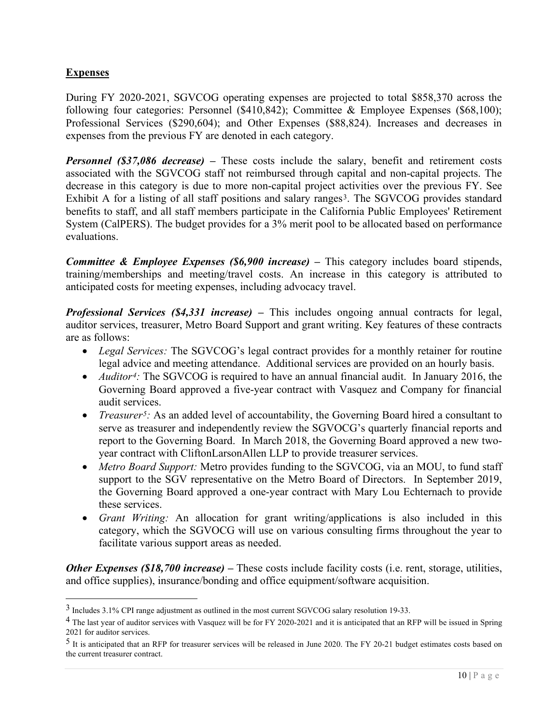## **Expenses**

During FY 2020-2021, SGVCOG operating expenses are projected to total \$858,370 across the following four categories: Personnel (\$410,842); Committee & Employee Expenses (\$68,100); Professional Services (\$290,604); and Other Expenses (\$88,824). Increases and decreases in expenses from the previous FY are denoted in each category.

*Personnel (\$37,086 decrease)* – These costs include the salary, benefit and retirement costs associated with the SGVCOG staff not reimbursed through capital and non-capital projects. The decrease in this category is due to more non-capital project activities over the previous FY. See Exhibit A for a listing of all staff positions and salary ranges<sup>3</sup>. The SGVCOG provides standard benefits to staff, and all staff members participate in the California Public Employees' Retirement System (CalPERS). The budget provides for a 3% merit pool to be allocated based on performance evaluations.

*Committee & Employee Expenses (\$6,900 increase) –* This category includes board stipends, training/memberships and meeting/travel costs. An increase in this category is attributed to anticipated costs for meeting expenses, including advocacy travel.

*Professional Services (\$4,331 increase) –* This includes ongoing annual contracts for legal, auditor services, treasurer, Metro Board Support and grant writing. Key features of these contracts are as follows:

- *Legal Services:* The SGVCOG's legal contract provides for a monthly retainer for routine legal advice and meeting attendance. Additional services are provided on an hourly basis.
- *Auditor<sup>[4](#page-9-1)</sup>*: The SGVCOG is required to have an annual financial audit. In January 2016, the Governing Board approved a five-year contract with Vasquez and Company for financial audit services.
- *Treasurer<sup>[5](#page-9-2)</sup>:* As an added level of accountability, the Governing Board hired a consultant to serve as treasurer and independently review the SGVOCG's quarterly financial reports and report to the Governing Board. In March 2018, the Governing Board approved a new twoyear contract with CliftonLarsonAllen LLP to provide treasurer services.
- *Metro Board Support:* Metro provides funding to the SGVCOG, via an MOU, to fund staff support to the SGV representative on the Metro Board of Directors. In September 2019, the Governing Board approved a one-year contract with Mary Lou Echternach to provide these services.
- *Grant Writing:* An allocation for grant writing/applications is also included in this category, which the SGVOCG will use on various consulting firms throughout the year to facilitate various support areas as needed.

*Other Expenses (\$18,700 increase)* – These costs include facility costs (i.e. rent, storage, utilities, and office supplies), insurance/bonding and office equipment/software acquisition.

<span id="page-9-0"></span><sup>3</sup> Includes 3.1% CPI range adjustment as outlined in the most current SGVCOG salary resolution 19-33.

<span id="page-9-1"></span><sup>&</sup>lt;sup>4</sup> The last year of auditor services with Vasquez will be for FY 2020-2021 and it is anticipated that an RFP will be issued in Spring 2021 for auditor services.

<span id="page-9-2"></span><sup>5</sup> It is anticipated that an RFP for treasurer services will be released in June 2020. The FY 20-21 budget estimates costs based on the current treasurer contract.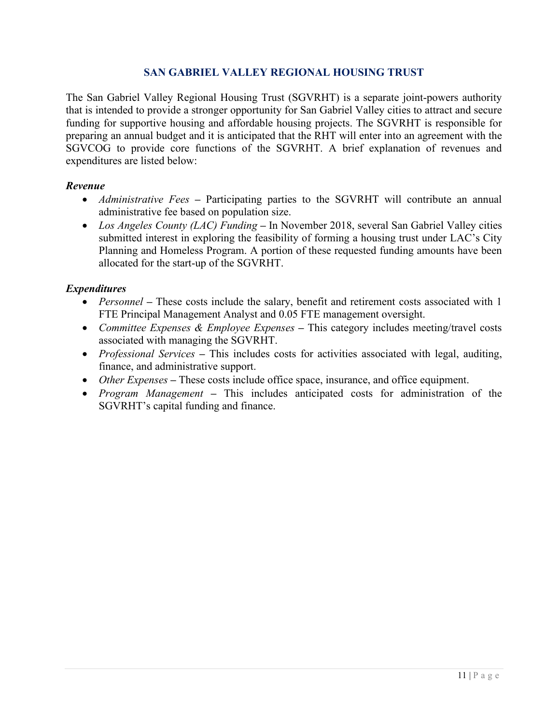### **SAN GABRIEL VALLEY REGIONAL HOUSING TRUST**

<span id="page-10-0"></span>The San Gabriel Valley Regional Housing Trust (SGVRHT) is a separate joint-powers authority that is intended to provide a stronger opportunity for San Gabriel Valley cities to attract and secure funding for supportive housing and affordable housing projects. The SGVRHT is responsible for preparing an annual budget and it is anticipated that the RHT will enter into an agreement with the SGVCOG to provide core functions of the SGVRHT. A brief explanation of revenues and expenditures are listed below:

#### *Revenue*

- *Administrative Fees* Participating parties to the SGVRHT will contribute an annual administrative fee based on population size.
- *Los Angeles County (LAC) Funding –* In November 2018, several San Gabriel Valley cities submitted interest in exploring the feasibility of forming a housing trust under LAC's City Planning and Homeless Program. A portion of these requested funding amounts have been allocated for the start-up of the SGVRHT.

#### *Expenditures*

- *Personnel* These costs include the salary, benefit and retirement costs associated with 1 FTE Principal Management Analyst and 0.05 FTE management oversight.
- *Committee Expenses & Employee Expenses –* This category includes meeting/travel costs associated with managing the SGVRHT.
- *Professional Services* This includes costs for activities associated with legal, auditing, finance, and administrative support.
- *Other Expenses* These costs include office space, insurance, and office equipment.
- *Program Management* This includes anticipated costs for administration of the SGVRHT's capital funding and finance.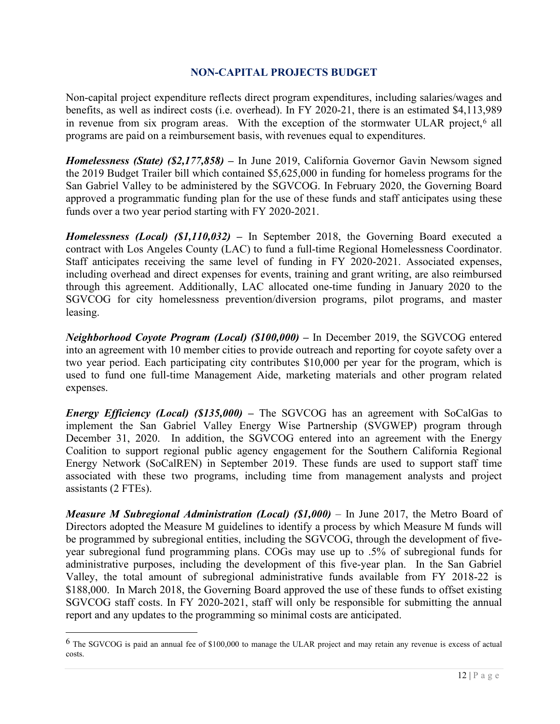### **NON-CAPITAL PROJECTS BUDGET**

<span id="page-11-0"></span>Non-capital project expenditure reflects direct program expenditures, including salaries/wages and benefits, as well as indirect costs (i.e. overhead). In FY 2020-21, there is an estimated \$4,113,989 in revenue from six program areas. With the exception of the stormwater ULAR project,<sup>[6](#page-11-1)</sup> all programs are paid on a reimbursement basis, with revenues equal to expenditures.

*Homelessness (State) (\$2,177,858)* – In June 2019, California Governor Gavin Newsom signed the 2019 Budget Trailer bill which contained \$5,625,000 in funding for homeless programs for the San Gabriel Valley to be administered by the SGVCOG. In February 2020, the Governing Board approved a programmatic funding plan for the use of these funds and staff anticipates using these funds over a two year period starting with FY 2020-2021.

*Homelessness (Local) (\$1,110,032) –* In September 2018, the Governing Board executed a contract with Los Angeles County (LAC) to fund a full-time Regional Homelessness Coordinator. Staff anticipates receiving the same level of funding in FY 2020-2021. Associated expenses, including overhead and direct expenses for events, training and grant writing, are also reimbursed through this agreement. Additionally, LAC allocated one-time funding in January 2020 to the SGVCOG for city homelessness prevention/diversion programs, pilot programs, and master leasing.

*Neighborhood Coyote Program (Local) (\$100,000) –* In December 2019, the SGVCOG entered into an agreement with 10 member cities to provide outreach and reporting for coyote safety over a two year period. Each participating city contributes \$10,000 per year for the program, which is used to fund one full-time Management Aide, marketing materials and other program related expenses.

*Energy Efficiency (Local) (\$135,000)* – The SGVCOG has an agreement with SoCalGas to implement the San Gabriel Valley Energy Wise Partnership (SVGWEP) program through December 31, 2020. In addition, the SGVCOG entered into an agreement with the Energy Coalition to support regional public agency engagement for the Southern California Regional Energy Network (SoCalREN) in September 2019. These funds are used to support staff time associated with these two programs, including time from management analysts and project assistants (2 FTEs).

*Measure M Subregional Administration (Local) (\$1,000)* – In June 2017, the Metro Board of Directors adopted the Measure M guidelines to identify a process by which Measure M funds will be programmed by subregional entities, including the SGVCOG, through the development of fiveyear subregional fund programming plans. COGs may use up to .5% of subregional funds for administrative purposes, including the development of this five-year plan. In the San Gabriel Valley, the total amount of subregional administrative funds available from FY 2018-22 is \$188,000. In March 2018, the Governing Board approved the use of these funds to offset existing SGVCOG staff costs. In FY 2020-2021, staff will only be responsible for submitting the annual report and any updates to the programming so minimal costs are anticipated.

<span id="page-11-1"></span><sup>6</sup> The SGVCOG is paid an annual fee of \$100,000 to manage the ULAR project and may retain any revenue is excess of actual costs.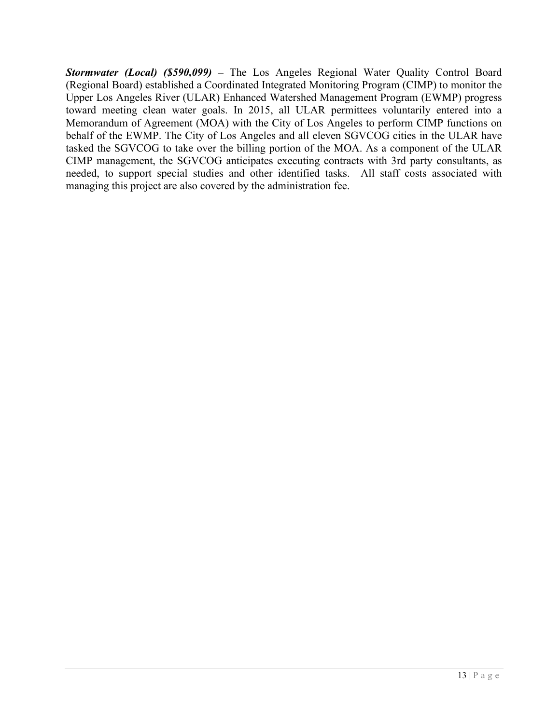*Stormwater (Local) (\$590,099) –* The Los Angeles Regional Water Quality Control Board (Regional Board) established a Coordinated Integrated Monitoring Program (CIMP) to monitor the Upper Los Angeles River (ULAR) Enhanced Watershed Management Program (EWMP) progress toward meeting clean water goals. In 2015, all ULAR permittees voluntarily entered into a Memorandum of Agreement (MOA) with the City of Los Angeles to perform CIMP functions on behalf of the EWMP. The City of Los Angeles and all eleven SGVCOG cities in the ULAR have tasked the SGVCOG to take over the billing portion of the MOA. As a component of the ULAR CIMP management, the SGVCOG anticipates executing contracts with 3rd party consultants, as needed, to support special studies and other identified tasks. All staff costs associated with managing this project are also covered by the administration fee.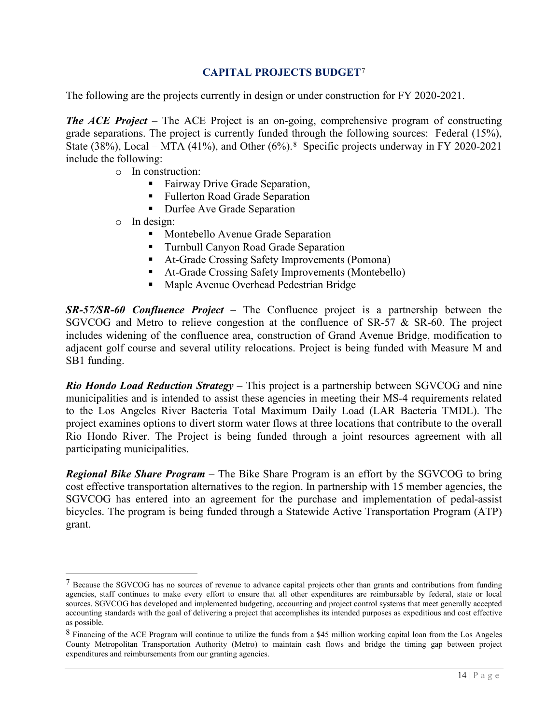## **CAPITAL PROJECTS BUDGET**[7](#page-13-1)

<span id="page-13-0"></span>The following are the projects currently in design or under construction for FY 2020-2021.

*The ACE Project* – The ACE Project is an on-going, comprehensive program of constructing grade separations. The project is currently funded through the following sources: Federal (15%), State (38%), Local – MTA (41%), and Other (6%).<sup>8</sup> Specific projects underway in FY 2020-2021 include the following:

- o In construction:
	- **Fairway Drive Grade Separation,**
	- **Fullerton Road Grade Separation**
	- **Durfee Ave Grade Separation**
- o In design:
	- Montebello Avenue Grade Separation
	- Turnbull Canyon Road Grade Separation
	- At-Grade Crossing Safety Improvements (Pomona)
	- At-Grade Crossing Safety Improvements (Montebello)
	- Maple Avenue Overhead Pedestrian Bridge

*SR-57/SR-60 Confluence Project* – The Confluence project is a partnership between the SGVCOG and Metro to relieve congestion at the confluence of SR-57 & SR-60. The project includes widening of the confluence area, construction of Grand Avenue Bridge, modification to adjacent golf course and several utility relocations. Project is being funded with Measure M and SB1 funding.

*Rio Hondo Load Reduction Strategy* – This project is a partnership between SGVCOG and nine municipalities and is intended to assist these agencies in meeting their MS-4 requirements related to the Los Angeles River Bacteria Total Maximum Daily Load (LAR Bacteria TMDL). The project examines options to divert storm water flows at three locations that contribute to the overall Rio Hondo River. The Project is being funded through a joint resources agreement with all participating municipalities.

*Regional Bike Share Program* – The Bike Share Program is an effort by the SGVCOG to bring cost effective transportation alternatives to the region. In partnership with 15 member agencies, the SGVCOG has entered into an agreement for the purchase and implementation of pedal-assist bicycles. The program is being funded through a Statewide Active Transportation Program (ATP) grant.

<span id="page-13-1"></span><sup>7</sup> Because the SGVCOG has no sources of revenue to advance capital projects other than grants and contributions from funding agencies, staff continues to make every effort to ensure that all other expenditures are reimbursable by federal, state or local sources. SGVCOG has developed and implemented budgeting, accounting and project control systems that meet generally accepted accounting standards with the goal of delivering a project that accomplishes its intended purposes as expeditious and cost effective as possible.

<span id="page-13-2"></span><sup>8</sup> Financing of the ACE Program will continue to utilize the funds from a \$45 million working capital loan from the Los Angeles County Metropolitan Transportation Authority (Metro) to maintain cash flows and bridge the timing gap between project expenditures and reimbursements from our granting agencies.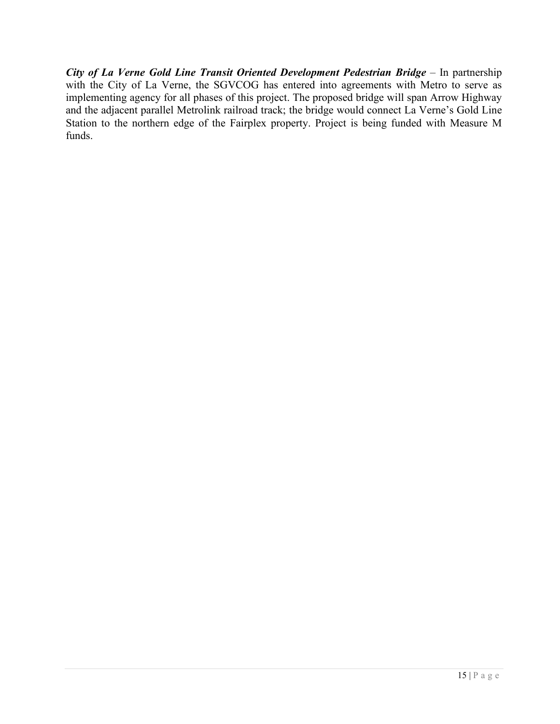*City of La Verne Gold Line Transit Oriented Development Pedestrian Bridge* – In partnership with the City of La Verne, the SGVCOG has entered into agreements with Metro to serve as implementing agency for all phases of this project. The proposed bridge will span Arrow Highway and the adjacent parallel Metrolink railroad track; the bridge would connect La Verne's Gold Line Station to the northern edge of the Fairplex property. Project is being funded with Measure M funds.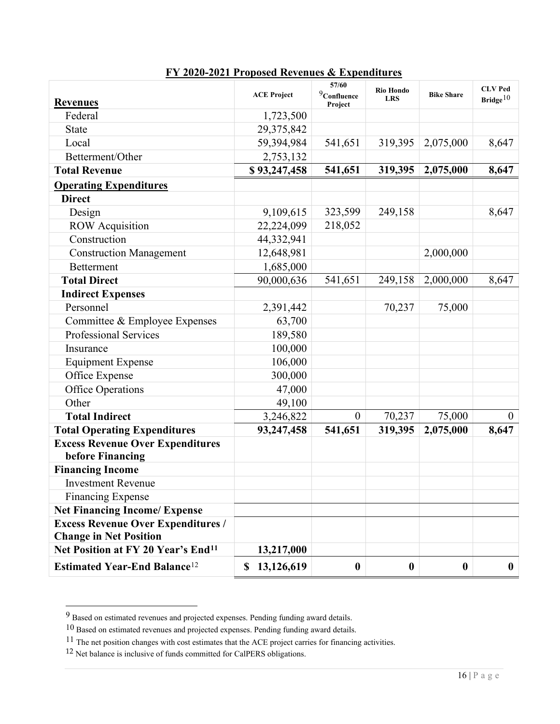|                                                 | <b>ACE Project</b>     | 57/60<br>$9$ Confluence | <b>Rio Hondo</b><br><b>LRS</b> | <b>Bike Share</b> | <b>CLV</b> Ped |
|-------------------------------------------------|------------------------|-------------------------|--------------------------------|-------------------|----------------|
| <b>Revenues</b>                                 |                        | Project                 |                                |                   | Bridge $10$    |
| Federal                                         | 1,723,500              |                         |                                |                   |                |
| <b>State</b>                                    | 29,375,842             |                         |                                |                   |                |
| Local                                           | 59,394,984             | 541,651                 | 319,395                        | 2,075,000         | 8,647          |
| Betterment/Other                                | 2,753,132              |                         |                                |                   |                |
| <b>Total Revenue</b>                            | \$93,247,458           | 541,651                 | 319,395                        | 2,075,000         | 8,647          |
| <b>Operating Expenditures</b>                   |                        |                         |                                |                   |                |
| <b>Direct</b>                                   |                        |                         |                                |                   |                |
| Design                                          | 9,109,615              | 323,599                 | 249,158                        |                   | 8,647          |
| <b>ROW</b> Acquisition                          | 22,224,099             | 218,052                 |                                |                   |                |
| Construction                                    | 44,332,941             |                         |                                |                   |                |
| <b>Construction Management</b>                  | 12,648,981             |                         |                                | 2,000,000         |                |
| <b>Betterment</b>                               | 1,685,000              |                         |                                |                   |                |
| <b>Total Direct</b>                             | 90,000,636             | 541,651                 | 249,158                        | 2,000,000         | 8,647          |
| <b>Indirect Expenses</b>                        |                        |                         |                                |                   |                |
| Personnel                                       | 2,391,442              |                         | 70,237                         | 75,000            |                |
| Committee & Employee Expenses                   | 63,700                 |                         |                                |                   |                |
| Professional Services                           | 189,580                |                         |                                |                   |                |
| Insurance                                       | 100,000                |                         |                                |                   |                |
| <b>Equipment Expense</b>                        | 106,000                |                         |                                |                   |                |
| Office Expense                                  | 300,000                |                         |                                |                   |                |
| <b>Office Operations</b>                        | 47,000                 |                         |                                |                   |                |
| Other                                           | 49,100                 |                         |                                |                   |                |
| <b>Total Indirect</b>                           | 3,246,822              | $\boldsymbol{0}$        | 70,237                         | 75,000            | $\overline{0}$ |
| <b>Total Operating Expenditures</b>             | 93,247,458             | 541,651                 | 319,395                        | 2,075,000         | 8,647          |
| <b>Excess Revenue Over Expenditures</b>         |                        |                         |                                |                   |                |
| before Financing                                |                        |                         |                                |                   |                |
| <b>Financing Income</b>                         |                        |                         |                                |                   |                |
| <b>Investment Revenue</b>                       |                        |                         |                                |                   |                |
| <b>Financing Expense</b>                        |                        |                         |                                |                   |                |
| <b>Net Financing Income/ Expense</b>            |                        |                         |                                |                   |                |
| <b>Excess Revenue Over Expenditures /</b>       |                        |                         |                                |                   |                |
| <b>Change in Net Position</b>                   |                        |                         |                                |                   |                |
| Net Position at FY 20 Year's End <sup>11</sup>  | 13,217,000             |                         |                                |                   |                |
| <b>Estimated Year-End Balance</b> <sup>12</sup> | 13,126,619<br><b>S</b> | $\bf{0}$                | $\boldsymbol{0}$               | $\boldsymbol{0}$  | $\bf{0}$       |

# **FY 2020-2021 Proposed Revenues & Expenditures**

<span id="page-15-0"></span><sup>9</sup> Based on estimated revenues and projected expenses. Pending funding award details.

<span id="page-15-2"></span><span id="page-15-1"></span><sup>10</sup> Based on estimated revenues and projected expenses. Pending funding award details.

 $11$  The net position changes with cost estimates that the ACE project carries for financing activities.

<span id="page-15-3"></span><sup>&</sup>lt;sup>12</sup> Net balance is inclusive of funds committed for CalPERS obligations.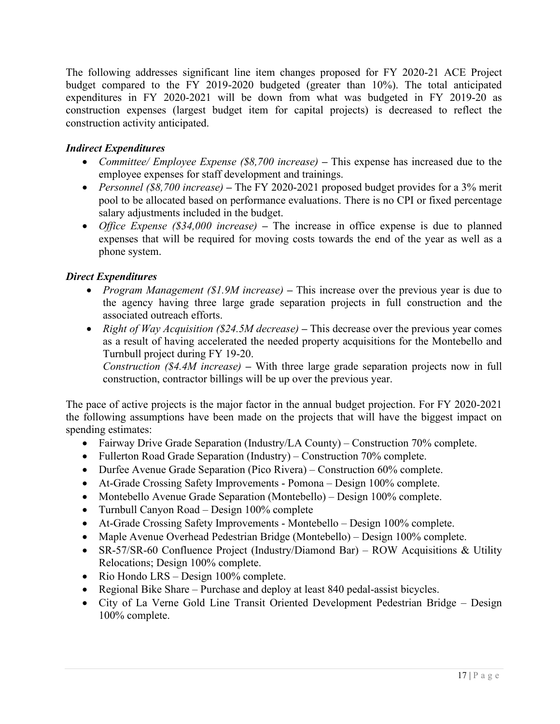The following addresses significant line item changes proposed for FY 2020-21 ACE Project budget compared to the FY 2019-2020 budgeted (greater than 10%). The total anticipated expenditures in FY 2020-2021 will be down from what was budgeted in FY 2019-20 as construction expenses (largest budget item for capital projects) is decreased to reflect the construction activity anticipated.

# *Indirect Expenditures*

- *Committee/ Employee Expense (\$8,700 increase) –* This expense has increased due to the employee expenses for staff development and trainings.
- *Personnel (\$8,700 increase) –* The FY 2020-2021 proposed budget provides for a 3% merit pool to be allocated based on performance evaluations. There is no CPI or fixed percentage salary adjustments included in the budget.
- *Office Expense (\$34,000 increase) –* The increase in office expense is due to planned expenses that will be required for moving costs towards the end of the year as well as a phone system.

# *Direct Expenditures*

- *Program Management (\$1.9M increase)* This increase over the previous year is due to the agency having three large grade separation projects in full construction and the associated outreach efforts.
- *Right of Way Acquisition (\$24.5M decrease) –* This decrease over the previous year comes as a result of having accelerated the needed property acquisitions for the Montebello and Turnbull project during FY 19-20.

*Construction (\$4.4M increase) –* With three large grade separation projects now in full construction, contractor billings will be up over the previous year.

The pace of active projects is the major factor in the annual budget projection. For FY 2020-2021 the following assumptions have been made on the projects that will have the biggest impact on spending estimates:

- Fairway Drive Grade Separation (Industry/LA County) Construction 70% complete.
- Fullerton Road Grade Separation (Industry) Construction 70% complete.
- Durfee Avenue Grade Separation (Pico Rivera) Construction 60% complete.
- At-Grade Crossing Safety Improvements Pomona Design 100% complete.
- Montebello Avenue Grade Separation (Montebello) Design 100% complete.
- Turnbull Canyon Road Design 100% complete
- At-Grade Crossing Safety Improvements Montebello Design 100% complete.
- Maple Avenue Overhead Pedestrian Bridge (Montebello) Design 100% complete.
- SR-57/SR-60 Confluence Project (Industry/Diamond Bar) ROW Acquisitions & Utility Relocations; Design 100% complete.
- Rio Hondo LRS Design 100% complete.
- Regional Bike Share Purchase and deploy at least 840 pedal-assist bicycles.
- City of La Verne Gold Line Transit Oriented Development Pedestrian Bridge Design 100% complete.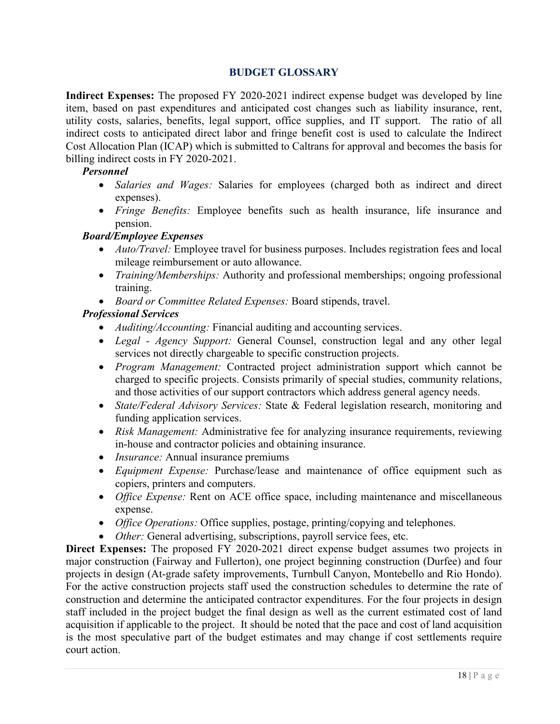## **BUDGET GLOSSARY**

<span id="page-17-0"></span>**Indirect Expenses:** The proposed FY 2020-2021 indirect expense budget was developed by line item, based on past expenditures and anticipated cost changes such as liability insurance, rent, utility costs, salaries, benefits, legal support, office supplies, and IT support. The ratio of all indirect costs to anticipated direct labor and fringe benefit cost is used to calculate the Indirect Cost Allocation Plan (ICAP) which is submitted to Caltrans for approval and becomes the basis for billing indirect costs in FY 2020-2021.

#### *Personnel*

- *Salaries and Wages:* Salaries for employees (charged both as indirect and direct expenses).
- *Fringe Benefits:* Employee benefits such as health insurance, life insurance and pension.

#### *Board/Employee Expenses*

- *Auto/Travel:* Employee travel for business purposes. Includes registration fees and local mileage reimbursement or auto allowance.
- *Training/Memberships:* Authority and professional memberships; ongoing professional training.
- *Board or Committee Related Expenses:* Board stipends, travel.

#### *Professional Services*

- *Auditing/Accounting:* Financial auditing and accounting services.
- *Legal - Agency Support:* General Counsel, construction legal and any other legal services not directly chargeable to specific construction projects.
- *Program Management:* Contracted project administration support which cannot be charged to specific projects. Consists primarily of special studies, community relations, and those activities of our support contractors which address general agency needs.
- *State/Federal Advisory Services:* State & Federal legislation research, monitoring and funding application services.
- *Risk Management:* Administrative fee for analyzing insurance requirements, reviewing in-house and contractor policies and obtaining insurance.
- *Insurance:* Annual insurance premiums
- *Equipment Expense:* Purchase/lease and maintenance of office equipment such as copiers, printers and computers.
- *Office Expense:* Rent on ACE office space, including maintenance and miscellaneous expense.
- *Office Operations:* Office supplies, postage, printing/copying and telephones.
- *Other:* General advertising, subscriptions, payroll service fees, etc.

**Direct Expenses:** The proposed FY 2020-2021 direct expense budget assumes two projects in major construction (Fairway and Fullerton), one project beginning construction (Durfee) and four projects in design (At-grade safety improvements, Turnbull Canyon, Montebello and Rio Hondo). For the active construction projects staff used the construction schedules to determine the rate of construction and determine the anticipated contractor expenditures. For the four projects in design staff included in the project budget the final design as well as the current estimated cost of land acquisition if applicable to the project. It should be noted that the pace and cost of land acquisition is the most speculative part of the budget estimates and may change if cost settlements require court action.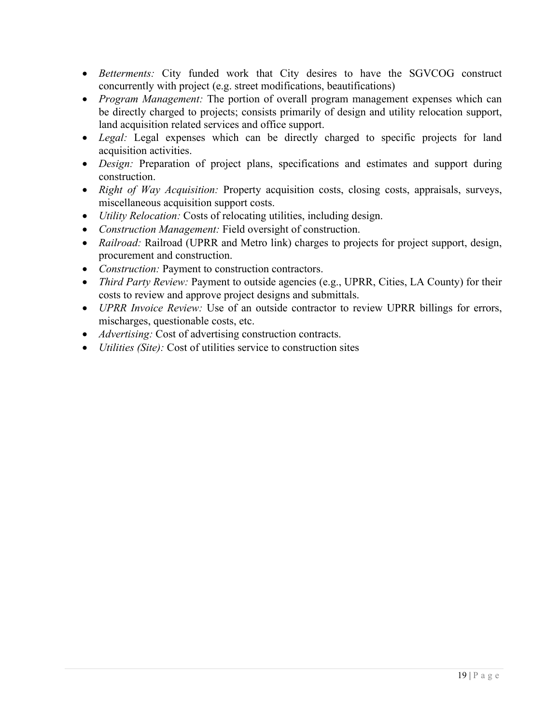- *Betterments:* City funded work that City desires to have the SGVCOG construct concurrently with project (e.g. street modifications, beautifications)
- *Program Management:* The portion of overall program management expenses which can be directly charged to projects; consists primarily of design and utility relocation support, land acquisition related services and office support.
- *Legal:* Legal expenses which can be directly charged to specific projects for land acquisition activities.
- *Design:* Preparation of project plans, specifications and estimates and support during construction.
- *Right of Way Acquisition:* Property acquisition costs, closing costs, appraisals, surveys, miscellaneous acquisition support costs.
- *Utility Relocation:* Costs of relocating utilities, including design.
- *Construction Management:* Field oversight of construction.
- *Railroad:* Railroad (UPRR and Metro link) charges to projects for project support, design, procurement and construction.
- *Construction:* Payment to construction contractors.
- *Third Party Review: Payment to outside agencies (e.g., UPRR, Cities, LA County) for their* costs to review and approve project designs and submittals.
- *UPRR Invoice Review:* Use of an outside contractor to review UPRR billings for errors, mischarges, questionable costs, etc.
- *Advertising:* Cost of advertising construction contracts.
- *Utilities (Site):* Cost of utilities service to construction sites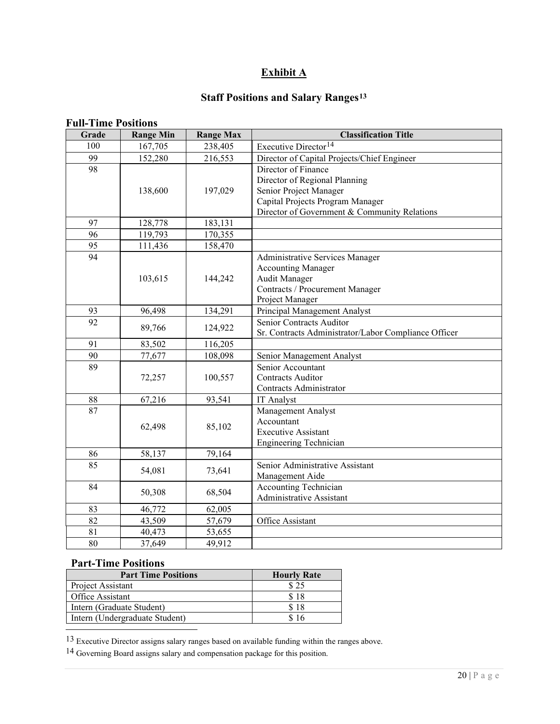# **Exhibit A**

# **Staff Positions and Salary Ranges[13](#page-19-0)**

| L'UII-I MILL I VSILIVIIS<br>Grade | <b>Range Min</b> | <b>Range Max</b> | <b>Classification Title</b>                                                                                                                                        |  |  |  |
|-----------------------------------|------------------|------------------|--------------------------------------------------------------------------------------------------------------------------------------------------------------------|--|--|--|
| 100                               | 167,705          | 238,405          | Executive Director <sup>14</sup>                                                                                                                                   |  |  |  |
| 99                                | 152,280          | 216,553          | Director of Capital Projects/Chief Engineer                                                                                                                        |  |  |  |
| 98                                | 138,600          | 197,029          | Director of Finance<br>Director of Regional Planning<br>Senior Project Manager<br>Capital Projects Program Manager<br>Director of Government & Community Relations |  |  |  |
| 97                                | 128,778          | 183,131          |                                                                                                                                                                    |  |  |  |
| 96                                | 119,793          | 170,355          |                                                                                                                                                                    |  |  |  |
| 95                                | 111,436          | 158,470          |                                                                                                                                                                    |  |  |  |
| 94                                | 103,615          | 144,242          | Administrative Services Manager<br><b>Accounting Manager</b><br><b>Audit Manager</b><br>Contracts / Procurement Manager<br>Project Manager                         |  |  |  |
| 93                                | 96,498           | 134,291          | Principal Management Analyst                                                                                                                                       |  |  |  |
| 92                                | 89,766           | 124,922          | Senior Contracts Auditor<br>Sr. Contracts Administrator/Labor Compliance Officer                                                                                   |  |  |  |
| 91                                | 83,502           | 116,205          |                                                                                                                                                                    |  |  |  |
| 90                                | 77,677           | 108,098          | Senior Management Analyst                                                                                                                                          |  |  |  |
| 89                                | 72,257           | 100,557          | Senior Accountant<br><b>Contracts Auditor</b><br>Contracts Administrator                                                                                           |  |  |  |
| $88\,$                            | 67,216           | 93,541           | IT Analyst                                                                                                                                                         |  |  |  |
| 87                                | 62,498           | 85,102           | Management Analyst<br>Accountant<br><b>Executive Assistant</b><br><b>Engineering Technician</b>                                                                    |  |  |  |
| 86                                | 58,137           | 79,164           |                                                                                                                                                                    |  |  |  |
| 85                                | 54,081           | 73,641           | Senior Administrative Assistant<br>Management Aide                                                                                                                 |  |  |  |
| 84                                | 50,308           | 68,504           | <b>Accounting Technician</b><br>Administrative Assistant                                                                                                           |  |  |  |
| 83                                | 46,772           | 62,005           |                                                                                                                                                                    |  |  |  |
| 82                                | 43,509           | 57,679           | Office Assistant                                                                                                                                                   |  |  |  |
| 81                                | 40,473           | 53,655           |                                                                                                                                                                    |  |  |  |
| 80                                | 37,649           | 49,912           |                                                                                                                                                                    |  |  |  |

## **Full-Time Positions**

# **Part-Time Positions**

| <b>Part Time Positions</b>     | <b>Hourly Rate</b> |
|--------------------------------|--------------------|
| Project Assistant              | \$25               |
| Office Assistant               | \$18               |
| Intern (Graduate Student)      | \$18               |
| Intern (Undergraduate Student) |                    |

<span id="page-19-0"></span>13 Executive Director assigns salary ranges based on available funding within the ranges above.

<span id="page-19-1"></span><sup>14</sup> Governing Board assigns salary and compensation package for this position.